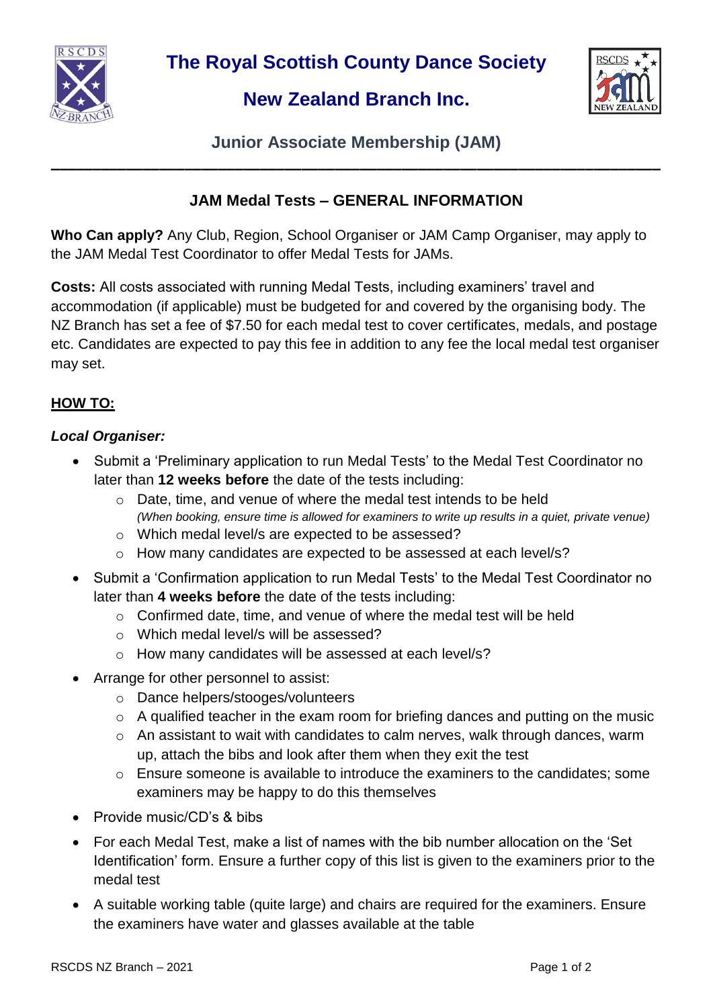

**The Royal Scottish County Dance Society**

# **New Zealand Branch Inc.**



**Junior Associate Membership (JAM) \_\_\_\_\_\_\_\_\_\_\_\_\_\_\_\_\_\_\_\_\_\_\_\_\_\_\_\_\_\_\_\_\_\_\_\_\_\_\_\_\_\_\_\_\_\_\_\_\_\_\_\_\_\_\_\_\_\_\_\_\_\_\_\_\_\_\_\_\_\_\_\_\_**

# **JAM Medal Tests – GENERAL INFORMATION**

**Who Can apply?** Any Club, Region, School Organiser or JAM Camp Organiser, may apply to the JAM Medal Test Coordinator to offer Medal Tests for JAMs.

**Costs:** All costs associated with running Medal Tests, including examiners' travel and accommodation (if applicable) must be budgeted for and covered by the organising body. The NZ Branch has set a fee of \$7.50 for each medal test to cover certificates, medals, and postage etc. Candidates are expected to pay this fee in addition to any fee the local medal test organiser may set.

# **HOW TO:**

#### *Local Organiser:*

- Submit a 'Preliminary application to run Medal Tests' to the Medal Test Coordinator no later than **12 weeks before** the date of the tests including:
	- $\circ$  Date, time, and venue of where the medal test intends to be held *(When booking, ensure time is allowed for examiners to write up results in a quiet, private venue)*
	- o Which medal level/s are expected to be assessed?
	- o How many candidates are expected to be assessed at each level/s?
- Submit a 'Confirmation application to run Medal Tests' to the Medal Test Coordinator no later than **4 weeks before** the date of the tests including:
	- o Confirmed date, time, and venue of where the medal test will be held
	- o Which medal level/s will be assessed?
	- o How many candidates will be assessed at each level/s?
- Arrange for other personnel to assist:
	- o Dance helpers/stooges/volunteers
	- o A qualified teacher in the exam room for briefing dances and putting on the music
	- o An assistant to wait with candidates to calm nerves, walk through dances, warm up, attach the bibs and look after them when they exit the test
	- $\circ$  Ensure someone is available to introduce the examiners to the candidates: some examiners may be happy to do this themselves
- Provide music/CD's & bibs
- For each Medal Test, make a list of names with the bib number allocation on the 'Set Identification' form. Ensure a further copy of this list is given to the examiners prior to the medal test
- A suitable working table (quite large) and chairs are required for the examiners. Ensure the examiners have water and glasses available at the table